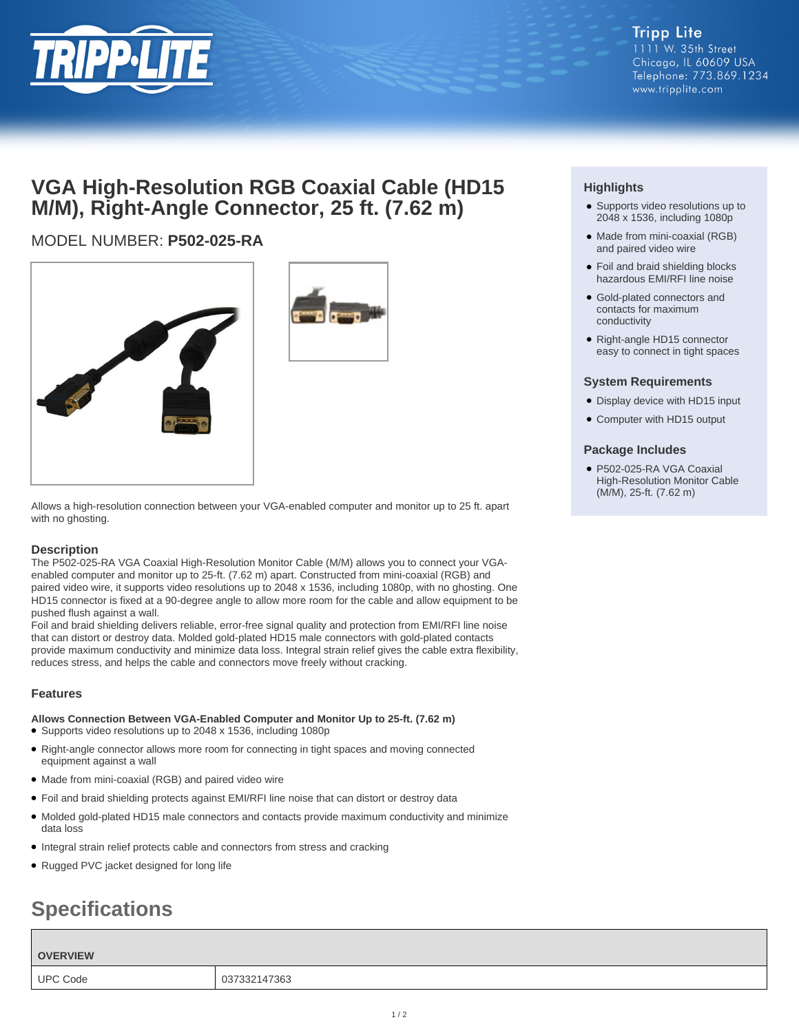

## **Tripp Lite** 1111 W. 35th Street Chicago, IL 60609 USA Telephone: 773.869.1234 www.tripplite.com

## **VGA High-Resolution RGB Coaxial Cable (HD15 M/M), Right-Angle Connector, 25 ft. (7.62 m)**

## MODEL NUMBER: **P502-025-RA**





Allows a high-resolution connection between your VGA-enabled computer and monitor up to 25 ft. apart with no ghosting.

## **Description**

The P502-025-RA VGA Coaxial High-Resolution Monitor Cable (M/M) allows you to connect your VGAenabled computer and monitor up to 25-ft. (7.62 m) apart. Constructed from mini-coaxial (RGB) and paired video wire, it supports video resolutions up to 2048 x 1536, including 1080p, with no ghosting. One HD15 connector is fixed at a 90-degree angle to allow more room for the cable and allow equipment to be pushed flush against a wall.

Foil and braid shielding delivers reliable, error-free signal quality and protection from EMI/RFI line noise that can distort or destroy data. Molded gold-plated HD15 male connectors with gold-plated contacts provide maximum conductivity and minimize data loss. Integral strain relief gives the cable extra flexibility, reduces stress, and helps the cable and connectors move freely without cracking.

## **Features**

**Allows Connection Between VGA-Enabled Computer and Monitor Up to 25-ft. (7.62 m)** ● Supports video resolutions up to 2048 x 1536, including 1080p

- Right-angle connector allows more room for connecting in tight spaces and moving connected equipment against a wall
- Made from mini-coaxial (RGB) and paired video wire
- Foil and braid shielding protects against EMI/RFI line noise that can distort or destroy data
- Molded gold-plated HD15 male connectors and contacts provide maximum conductivity and minimize data loss
- Integral strain relief protects cable and connectors from stress and cracking
- Rugged PVC jacket designed for long life

# **Specifications**

#### **OVERVIEW**

UPC Code 037332147363

## **Highlights**

- Supports video resolutions up to 2048 x 1536, including 1080p
- Made from mini-coaxial (RGB) and paired video wire
- Foil and braid shielding blocks hazardous EMI/RFI line noise
- Gold-plated connectors and contacts for maximum conductivity
- Right-angle HD15 connector easy to connect in tight spaces

### **System Requirements**

- Display device with HD15 input
- Computer with HD15 output

## **Package Includes**

● P502-025-RA VGA Coaxial High-Resolution Monitor Cable (M/M), 25-ft. (7.62 m)